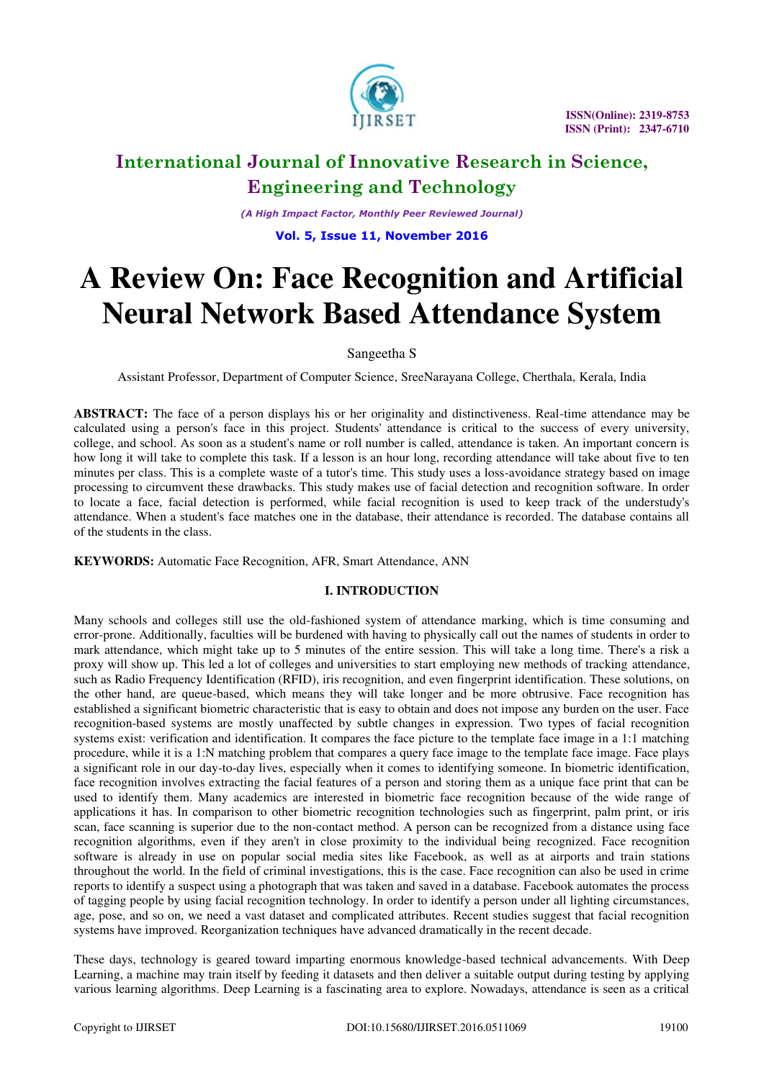

*(A High Impact Factor, Monthly Peer Reviewed Journal)* 

**Vol. 5, Issue 11, November 2016** 

# **A Review On: Face Recognition and Artificial Neural Network Based Attendance System**

# Sangeetha S

Assistant Professor, Department of Computer Science, SreeNarayana College, Cherthala, Kerala, India

**ABSTRACT:** The face of a person displays his or her originality and distinctiveness. Real-time attendance may be calculated using a person's face in this project. Students' attendance is critical to the success of every university, college, and school. As soon as a student's name or roll number is called, attendance is taken. An important concern is how long it will take to complete this task. If a lesson is an hour long, recording attendance will take about five to ten minutes per class. This is a complete waste of a tutor's time. This study uses a loss-avoidance strategy based on image processing to circumvent these drawbacks. This study makes use of facial detection and recognition software. In order to locate a face, facial detection is performed, while facial recognition is used to keep track of the understudy's attendance. When a student's face matches one in the database, their attendance is recorded. The database contains all of the students in the class.

**KEYWORDS:** Automatic Face Recognition, AFR, Smart Attendance, ANN

# **I. INTRODUCTION**

Many schools and colleges still use the old-fashioned system of attendance marking, which is time consuming and error-prone. Additionally, faculties will be burdened with having to physically call out the names of students in order to mark attendance, which might take up to 5 minutes of the entire session. This will take a long time. There's a risk a proxy will show up. This led a lot of colleges and universities to start employing new methods of tracking attendance, such as Radio Frequency Identification (RFID), iris recognition, and even fingerprint identification. These solutions, on the other hand, are queue-based, which means they will take longer and be more obtrusive. Face recognition has established a significant biometric characteristic that is easy to obtain and does not impose any burden on the user. Face recognition-based systems are mostly unaffected by subtle changes in expression. Two types of facial recognition systems exist: verification and identification. It compares the face picture to the template face image in a 1:1 matching procedure, while it is a 1:N matching problem that compares a query face image to the template face image. Face plays a significant role in our day-to-day lives, especially when it comes to identifying someone. In biometric identification, face recognition involves extracting the facial features of a person and storing them as a unique face print that can be used to identify them. Many academics are interested in biometric face recognition because of the wide range of applications it has. In comparison to other biometric recognition technologies such as fingerprint, palm print, or iris scan, face scanning is superior due to the non-contact method. A person can be recognized from a distance using face recognition algorithms, even if they aren't in close proximity to the individual being recognized. Face recognition software is already in use on popular social media sites like Facebook, as well as at airports and train stations throughout the world. In the field of criminal investigations, this is the case. Face recognition can also be used in crime reports to identify a suspect using a photograph that was taken and saved in a database. Facebook automates the process of tagging people by using facial recognition technology. In order to identify a person under all lighting circumstances, age, pose, and so on, we need a vast dataset and complicated attributes. Recent studies suggest that facial recognition systems have improved. Reorganization techniques have advanced dramatically in the recent decade.

These days, technology is geared toward imparting enormous knowledge-based technical advancements. With Deep Learning, a machine may train itself by feeding it datasets and then deliver a suitable output during testing by applying various learning algorithms. Deep Learning is a fascinating area to explore. Nowadays, attendance is seen as a critical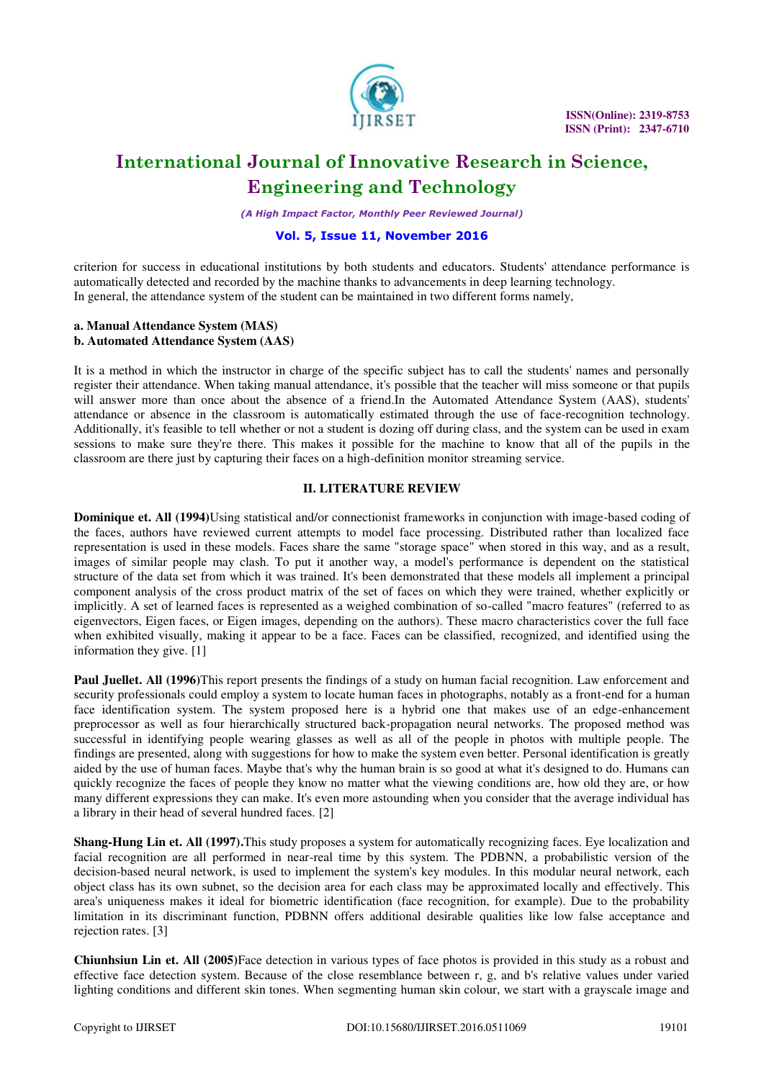

 **ISSN(Online): 2319-8753 ISSN (Print): 2347-6710** 

# **International Journal of Innovative Research in Science, Engineering and Technology**

*(A High Impact Factor, Monthly Peer Reviewed Journal)* 

# **Vol. 5, Issue 11, November 2016**

criterion for success in educational institutions by both students and educators. Students' attendance performance is automatically detected and recorded by the machine thanks to advancements in deep learning technology. In general, the attendance system of the student can be maintained in two different forms namely,

### **a. Manual Attendance System (MAS) b. Automated Attendance System (AAS)**

It is a method in which the instructor in charge of the specific subject has to call the students' names and personally register their attendance. When taking manual attendance, it's possible that the teacher will miss someone or that pupils will answer more than once about the absence of a friend.In the Automated Attendance System (AAS), students' attendance or absence in the classroom is automatically estimated through the use of face-recognition technology. Additionally, it's feasible to tell whether or not a student is dozing off during class, and the system can be used in exam sessions to make sure they're there. This makes it possible for the machine to know that all of the pupils in the classroom are there just by capturing their faces on a high-definition monitor streaming service.

# **II. LITERATURE REVIEW**

**Dominique et. All (1994)**Using statistical and/or connectionist frameworks in conjunction with image-based coding of the faces, authors have reviewed current attempts to model face processing. Distributed rather than localized face representation is used in these models. Faces share the same "storage space" when stored in this way, and as a result, images of similar people may clash. To put it another way, a model's performance is dependent on the statistical structure of the data set from which it was trained. It's been demonstrated that these models all implement a principal component analysis of the cross product matrix of the set of faces on which they were trained, whether explicitly or implicitly. A set of learned faces is represented as a weighed combination of so-called "macro features" (referred to as eigenvectors, Eigen faces, or Eigen images, depending on the authors). These macro characteristics cover the full face when exhibited visually, making it appear to be a face. Faces can be classified, recognized, and identified using the information they give. [1]

**Paul Juellet. All (1996)**This report presents the findings of a study on human facial recognition. Law enforcement and security professionals could employ a system to locate human faces in photographs, notably as a front-end for a human face identification system. The system proposed here is a hybrid one that makes use of an edge-enhancement preprocessor as well as four hierarchically structured back-propagation neural networks. The proposed method was successful in identifying people wearing glasses as well as all of the people in photos with multiple people. The findings are presented, along with suggestions for how to make the system even better. Personal identification is greatly aided by the use of human faces. Maybe that's why the human brain is so good at what it's designed to do. Humans can quickly recognize the faces of people they know no matter what the viewing conditions are, how old they are, or how many different expressions they can make. It's even more astounding when you consider that the average individual has a library in their head of several hundred faces. [2]

**Shang-Hung Lin et. All (1997).**This study proposes a system for automatically recognizing faces. Eye localization and facial recognition are all performed in near-real time by this system. The PDBNN, a probabilistic version of the decision-based neural network, is used to implement the system's key modules. In this modular neural network, each object class has its own subnet, so the decision area for each class may be approximated locally and effectively. This area's uniqueness makes it ideal for biometric identification (face recognition, for example). Due to the probability limitation in its discriminant function, PDBNN offers additional desirable qualities like low false acceptance and rejection rates. [3]

**Chiunhsiun Lin et. All (2005)**Face detection in various types of face photos is provided in this study as a robust and effective face detection system. Because of the close resemblance between r, g, and b's relative values under varied lighting conditions and different skin tones. When segmenting human skin colour, we start with a grayscale image and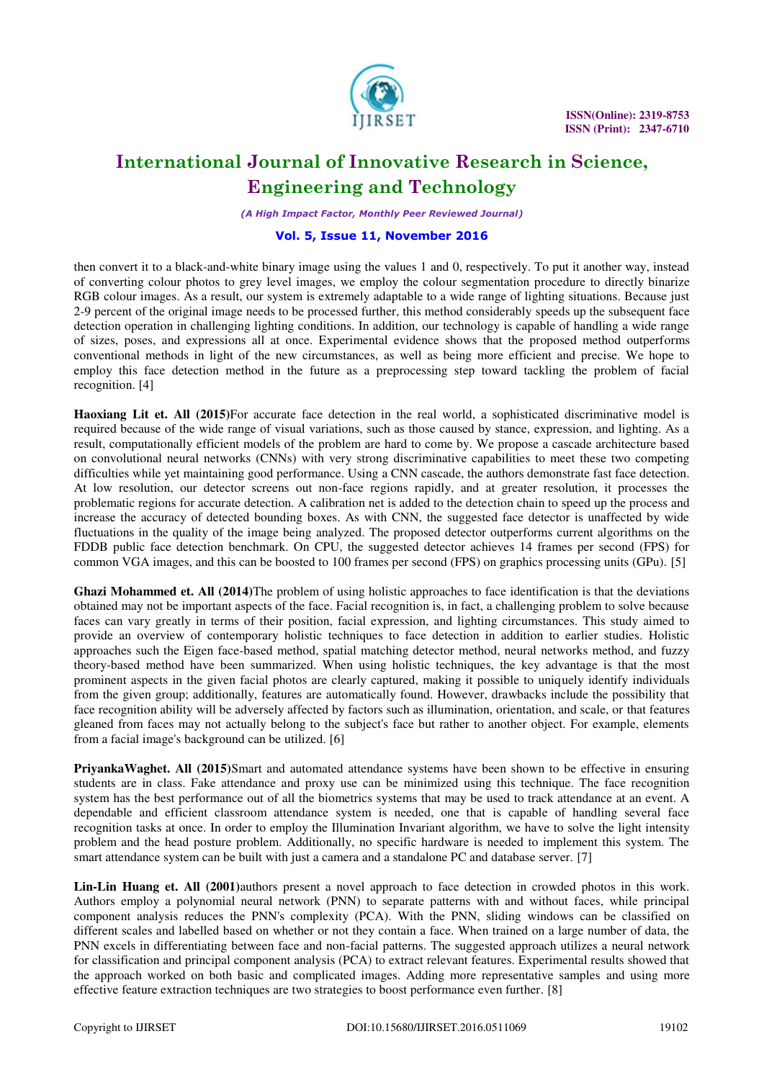

*(A High Impact Factor, Monthly Peer Reviewed Journal)* 

# **Vol. 5, Issue 11, November 2016**

then convert it to a black-and-white binary image using the values 1 and 0, respectively. To put it another way, instead of converting colour photos to grey level images, we employ the colour segmentation procedure to directly binarize RGB colour images. As a result, our system is extremely adaptable to a wide range of lighting situations. Because just 2-9 percent of the original image needs to be processed further, this method considerably speeds up the subsequent face detection operation in challenging lighting conditions. In addition, our technology is capable of handling a wide range of sizes, poses, and expressions all at once. Experimental evidence shows that the proposed method outperforms conventional methods in light of the new circumstances, as well as being more efficient and precise. We hope to employ this face detection method in the future as a preprocessing step toward tackling the problem of facial recognition. [4]

**Haoxiang Lit et. All (2015)**For accurate face detection in the real world, a sophisticated discriminative model is required because of the wide range of visual variations, such as those caused by stance, expression, and lighting. As a result, computationally efficient models of the problem are hard to come by. We propose a cascade architecture based on convolutional neural networks (CNNs) with very strong discriminative capabilities to meet these two competing difficulties while yet maintaining good performance. Using a CNN cascade, the authors demonstrate fast face detection. At low resolution, our detector screens out non-face regions rapidly, and at greater resolution, it processes the problematic regions for accurate detection. A calibration net is added to the detection chain to speed up the process and increase the accuracy of detected bounding boxes. As with CNN, the suggested face detector is unaffected by wide fluctuations in the quality of the image being analyzed. The proposed detector outperforms current algorithms on the FDDB public face detection benchmark. On CPU, the suggested detector achieves 14 frames per second (FPS) for common VGA images, and this can be boosted to 100 frames per second (FPS) on graphics processing units (GPu). [5]

**Ghazi Mohammed et. All (2014)**The problem of using holistic approaches to face identification is that the deviations obtained may not be important aspects of the face. Facial recognition is, in fact, a challenging problem to solve because faces can vary greatly in terms of their position, facial expression, and lighting circumstances. This study aimed to provide an overview of contemporary holistic techniques to face detection in addition to earlier studies. Holistic approaches such the Eigen face-based method, spatial matching detector method, neural networks method, and fuzzy theory-based method have been summarized. When using holistic techniques, the key advantage is that the most prominent aspects in the given facial photos are clearly captured, making it possible to uniquely identify individuals from the given group; additionally, features are automatically found. However, drawbacks include the possibility that face recognition ability will be adversely affected by factors such as illumination, orientation, and scale, or that features gleaned from faces may not actually belong to the subject's face but rather to another object. For example, elements from a facial image's background can be utilized. [6]

**PriyankaWaghet. All (2015)**Smart and automated attendance systems have been shown to be effective in ensuring students are in class. Fake attendance and proxy use can be minimized using this technique. The face recognition system has the best performance out of all the biometrics systems that may be used to track attendance at an event. A dependable and efficient classroom attendance system is needed, one that is capable of handling several face recognition tasks at once. In order to employ the Illumination Invariant algorithm, we have to solve the light intensity problem and the head posture problem. Additionally, no specific hardware is needed to implement this system. The smart attendance system can be built with just a camera and a standalone PC and database server. [7]

**Lin-Lin Huang et. All (2001)**authors present a novel approach to face detection in crowded photos in this work. Authors employ a polynomial neural network (PNN) to separate patterns with and without faces, while principal component analysis reduces the PNN's complexity (PCA). With the PNN, sliding windows can be classified on different scales and labelled based on whether or not they contain a face. When trained on a large number of data, the PNN excels in differentiating between face and non-facial patterns. The suggested approach utilizes a neural network for classification and principal component analysis (PCA) to extract relevant features. Experimental results showed that the approach worked on both basic and complicated images. Adding more representative samples and using more effective feature extraction techniques are two strategies to boost performance even further. [8]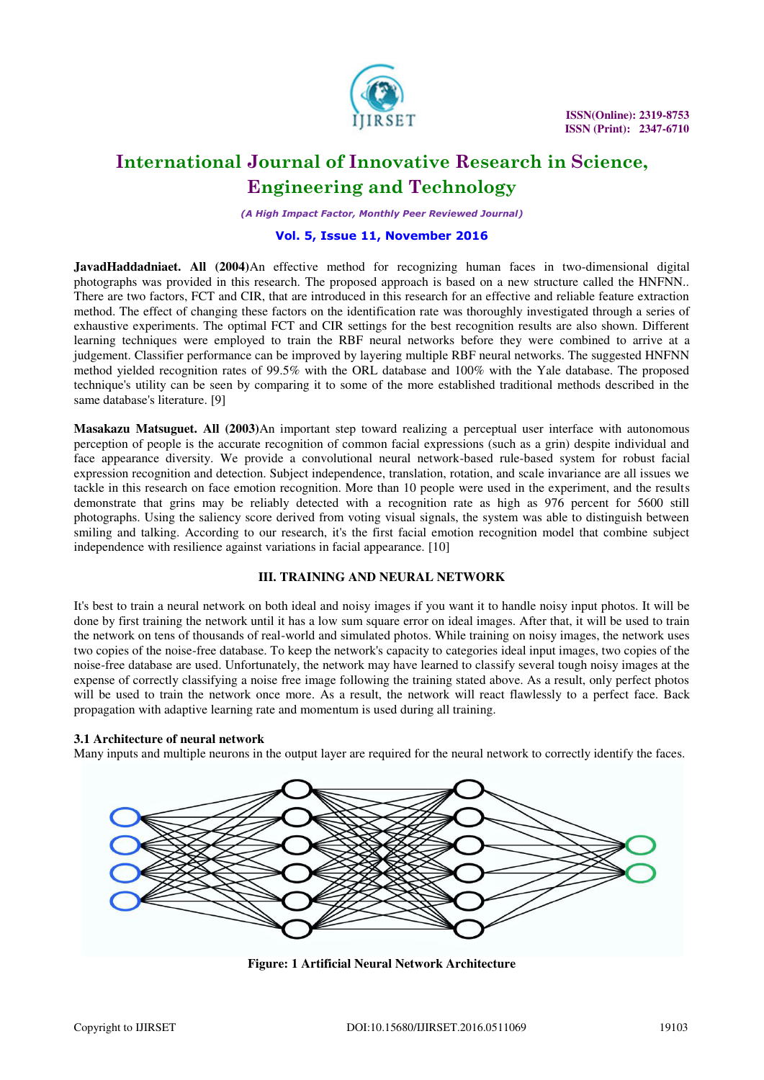

*(A High Impact Factor, Monthly Peer Reviewed Journal)* 

# **Vol. 5, Issue 11, November 2016**

**JavadHaddadniaet. All (2004)**An effective method for recognizing human faces in two-dimensional digital photographs was provided in this research. The proposed approach is based on a new structure called the HNFNN.. There are two factors, FCT and CIR, that are introduced in this research for an effective and reliable feature extraction method. The effect of changing these factors on the identification rate was thoroughly investigated through a series of exhaustive experiments. The optimal FCT and CIR settings for the best recognition results are also shown. Different learning techniques were employed to train the RBF neural networks before they were combined to arrive at a judgement. Classifier performance can be improved by layering multiple RBF neural networks. The suggested HNFNN method yielded recognition rates of 99.5% with the ORL database and 100% with the Yale database. The proposed technique's utility can be seen by comparing it to some of the more established traditional methods described in the same database's literature. [9]

**Masakazu Matsuguet. All (2003)**An important step toward realizing a perceptual user interface with autonomous perception of people is the accurate recognition of common facial expressions (such as a grin) despite individual and face appearance diversity. We provide a convolutional neural network-based rule-based system for robust facial expression recognition and detection. Subject independence, translation, rotation, and scale invariance are all issues we tackle in this research on face emotion recognition. More than 10 people were used in the experiment, and the results demonstrate that grins may be reliably detected with a recognition rate as high as 976 percent for 5600 still photographs. Using the saliency score derived from voting visual signals, the system was able to distinguish between smiling and talking. According to our research, it's the first facial emotion recognition model that combine subject independence with resilience against variations in facial appearance. [10]

### **III. TRAINING AND NEURAL NETWORK**

It's best to train a neural network on both ideal and noisy images if you want it to handle noisy input photos. It will be done by first training the network until it has a low sum square error on ideal images. After that, it will be used to train the network on tens of thousands of real-world and simulated photos. While training on noisy images, the network uses two copies of the noise-free database. To keep the network's capacity to categories ideal input images, two copies of the noise-free database are used. Unfortunately, the network may have learned to classify several tough noisy images at the expense of correctly classifying a noise free image following the training stated above. As a result, only perfect photos will be used to train the network once more. As a result, the network will react flawlessly to a perfect face. Back propagation with adaptive learning rate and momentum is used during all training.

### **3.1 Architecture of neural network**

Many inputs and multiple neurons in the output layer are required for the neural network to correctly identify the faces.



**Figure: 1 Artificial Neural Network Architecture**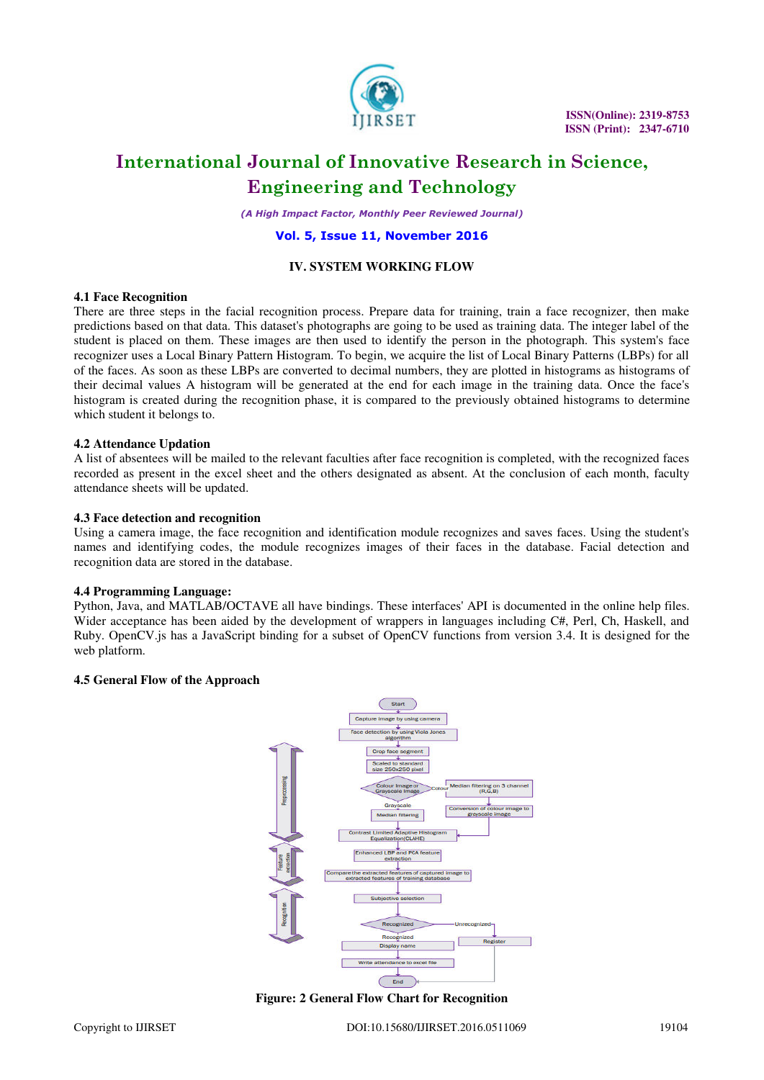

 **ISSN(Online): 2319-8753 ISSN (Print): 2347-6710** 

# **International Journal of Innovative Research in Science, Engineering and Technology**

*(A High Impact Factor, Monthly Peer Reviewed Journal)* 

### **Vol. 5, Issue 11, November 2016**

### **IV. SYSTEM WORKING FLOW**

#### **4.1 Face Recognition**

There are three steps in the facial recognition process. Prepare data for training, train a face recognizer, then make predictions based on that data. This dataset's photographs are going to be used as training data. The integer label of the student is placed on them. These images are then used to identify the person in the photograph. This system's face recognizer uses a Local Binary Pattern Histogram. To begin, we acquire the list of Local Binary Patterns (LBPs) for all of the faces. As soon as these LBPs are converted to decimal numbers, they are plotted in histograms as histograms of their decimal values A histogram will be generated at the end for each image in the training data. Once the face's histogram is created during the recognition phase, it is compared to the previously obtained histograms to determine which student it belongs to.

#### **4.2 Attendance Updation**

A list of absentees will be mailed to the relevant faculties after face recognition is completed, with the recognized faces recorded as present in the excel sheet and the others designated as absent. At the conclusion of each month, faculty attendance sheets will be updated.

#### **4.3 Face detection and recognition**

Using a camera image, the face recognition and identification module recognizes and saves faces. Using the student's names and identifying codes, the module recognizes images of their faces in the database. Facial detection and recognition data are stored in the database.

#### **4.4 Programming Language:**

Python, Java, and MATLAB/OCTAVE all have bindings. These interfaces' API is documented in the online help files. Wider acceptance has been aided by the development of wrappers in languages including C#, Perl, Ch, Haskell, and Ruby. OpenCV.js has a JavaScript binding for a subset of OpenCV functions from version 3.4. It is designed for the web platform.

## **4.5 General Flow of the Approach**



**Figure: 2 General Flow Chart for Recognition**